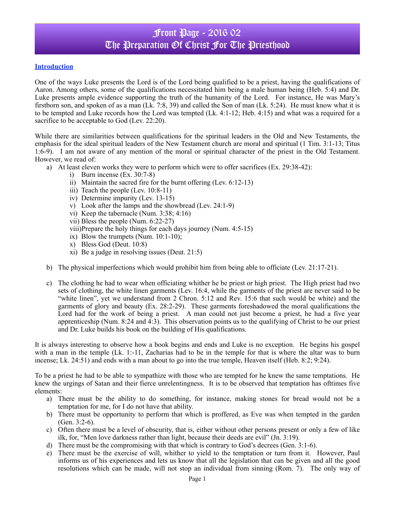## Front Page - 2016 02 The Preparation Of Christ For The Priesthood

#### **Introduction**

One of the ways Luke presents the Lord is of the Lord being qualified to be a priest, having the qualifications of Aaron. Among others, some of the qualifications necessitated him being a male human being (Heb. 5:4) and Dr. Luke presents ample evidence supporting the truth of the humanity of the Lord. For instance, He was Mary's firstborn son, and spoken of as a man (Lk. 7:8, 39) and called the Son of man (Lk. 5:24). He must know what it is to be tempted and Luke records how the Lord was tempted (Lk. 4:1-12; Heb. 4:15) and what was a required for a sacrifice to be acceptable to God (Lev. 22:20).

While there are similarities between qualifications for the spiritual leaders in the Old and New Testaments, the emphasis for the ideal spiritual leaders of the New Testament church are moral and spiritual (1 Tim. 3:1-13; Titus 1:6-9). I am not aware of any mention of the moral or spiritual character of the priest in the Old Testament. However, we read of:

a) At least eleven works they were to perform which were to offer sacrifices (Ex. 29:38-42):

- i) Burn incense (Ex. 30:7-8)
- ii) Maintain the sacred fire for the burnt offering (Lev. 6:12-13)
- iii) Teach the people (Lev. 10:8-11)
- iv) Determine impurity (Lev. 13-15)
- v) Look after the lamps and the showbread (Lev. 24:1-9)
- vi) Keep the tabernacle (Num. 3:38; 4:16)
- vii) Bless the people (Num. 6:22-27)
- viii)Prepare the holy things for each days journey (Num. 4:5-15)
- ix) Blow the trumpets (Num. 10:1-10);
- x) Bless God (Deut. 10:8)
- xi) Be a judge in resolving issues (Deut. 21:5)
- b) The physical imperfections which would prohibit him from being able to officiate (Lev. 21:17-21).
- c) The clothing he had to wear when officiating whither he be priest or high priest. The High priest had two sets of clothing, the white linen garments (Lev. 16:4, while the garments of the priest are never said to be "white linen", yet we understand from 2 Chron. 5:12 and Rev. 15:6 that such would be white) and the garments of glory and beauty (Ex. 28:2-29). These garments foreshadowed the moral qualifications the Lord had for the work of being a priest. A man could not just become a priest, he had a five year apprenticeship (Num. 8:24 and 4:3). This observation points us to the qualifying of Christ to be our priest and Dr. Luke builds his book on the building of His qualifications.

It is always interesting to observe how a book begins and ends and Luke is no exception. He begins his gospel with a man in the temple (Lk. 1:-11, Zacharias had to be in the temple for that is where the altar was to burn incense; Lk. 24:51) and ends with a man about to go into the true temple, Heaven itself (Heb. 8:2; 9:24).

To be a priest he had to be able to sympathize with those who are tempted for he knew the same temptations. He knew the urgings of Satan and their fierce unrelentingness. It is to be observed that temptation has ofttimes five elements:

- a) There must be the ability to do something, for instance, making stones for bread would not be a temptation for me, for I do not have that ability.
- b) There must be opportunity to perform that which is proffered, as Eve was when tempted in the garden (Gen. 3:2-6).
- c) Often there must be a level of obscurity, that is, either without other persons present or only a few of like ilk, for, "Men love darkness rather than light, because their deeds are evil" (Jn. 3:19).
- d) There must be the compromising with that which is contrary to God's decrees (Gen. 3:1-6).
- e) There must be the exercise of will, whither to yield to the temptation or turn from it. However, Paul informs us of his experiences and lets us know that all the legislation that can be given and all the good resolutions which can be made, will not stop an individual from sinning (Rom. 7). The only way of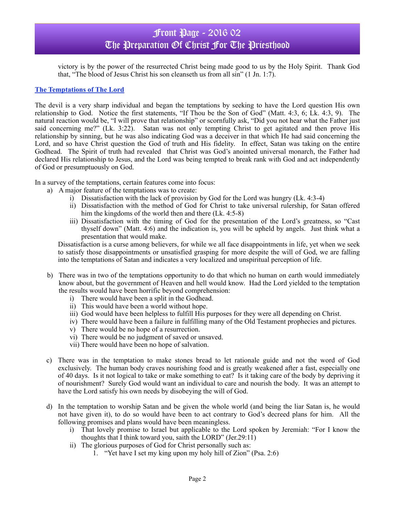# Front Page - 2016 02 The Preparation Of Christ For The Priesthood

victory is by the power of the resurrected Christ being made good to us by the Holy Spirit. Thank God that, "The blood of Jesus Christ his son cleanseth us from all sin" (1 Jn. 1:7).

#### **The Temptations of The Lord**

The devil is a very sharp individual and began the temptations by seeking to have the Lord question His own relationship to God. Notice the first statements, "If Thou be the Son of God" (Matt. 4:3, 6; Lk. 4:3, 9). The natural reaction would be, "I will prove that relationship" or scornfully ask, "Did you not hear what the Father just said concerning me?" (Lk. 3:22). Satan was not only tempting Christ to get agitated and then prove His relationship by sinning, but he was also indicating God was a deceiver in that which He had said concerning the Lord, and so have Christ question the God of truth and His fidelity. In effect, Satan was taking on the entire Godhead. The Spirit of truth had revealed that Christ was God's anointed universal monarch, the Father had declared His relationship to Jesus, and the Lord was being tempted to break rank with God and act independently of God or presumptuously on God.

In a survey of the temptations, certain features come into focus:

- a) A major feature of the temptations was to create:
	- i) Dissatisfaction with the lack of provision by God for the Lord was hungry (Lk. 4:3-4)
	- ii) Dissatisfaction with the method of God for Christ to take universal rulership, for Satan offered him the kingdoms of the world then and there (Lk. 4:5-8)
	- iii) Dissatisfaction with the timing of God for the presentation of the Lord's greatness, so "Cast thyself down" (Matt. 4:6) and the indication is, you will be upheld by angels. Just think what a presentation that would make.

Dissatisfaction is a curse among believers, for while we all face disappointments in life, yet when we seek to satisfy those disappointments or unsatisfied grasping for more despite the will of God, we are falling into the temptations of Satan and indicates a very localized and unspiritual perception of life.

- b) There was in two of the temptations opportunity to do that which no human on earth would immediately know about, but the government of Heaven and hell would know. Had the Lord yielded to the temptation the results would have been horrific beyond comprehension:
	- i) There would have been a split in the Godhead.
	- ii) This would have been a world without hope.
	- iii) God would have been helpless to fulfill His purposes for they were all depending on Christ.
	- iv) There would have been a failure in fulfilling many of the Old Testament prophecies and pictures.
	- v) There would be no hope of a resurrection.
	- vi) There would be no judgment of saved or unsaved.
	- vii) There would have been no hope of salvation.
- c) There was in the temptation to make stones bread to let rationale guide and not the word of God exclusively. The human body craves nourishing food and is greatly weakened after a fast, especially one of 40 days. Is it not logical to take or make something to eat? Is it taking care of the body by depriving it of nourishment? Surely God would want an individual to care and nourish the body. It was an attempt to have the Lord satisfy his own needs by disobeying the will of God.
- d) In the temptation to worship Satan and be given the whole world (and being the liar Satan is, he would not have given it), to do so would have been to act contrary to God's decreed plans for him. All the following promises and plans would have been meaningless.
	- i) That lovely promise to Israel but applicable to the Lord spoken by Jeremiah: "For I know the thoughts that I think toward you, saith the LORD" (Jer.29:11)
	- ii) The glorious purposes of God for Christ personally such as:
		- 1. "Yet have I set my king upon my holy hill of Zion" (Psa. 2:6)